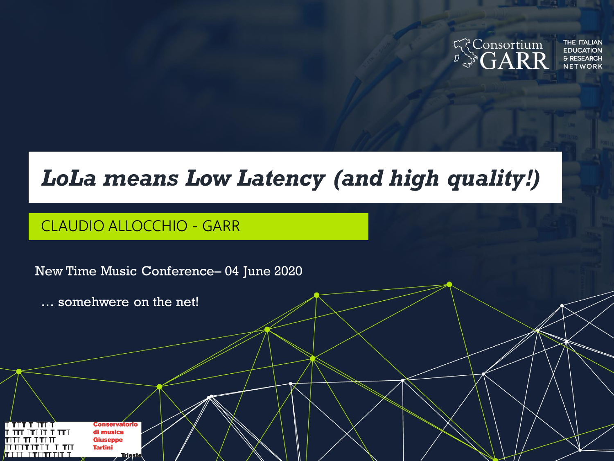

#### *LoLa means Low Latency (and high quality!)*

#### CLAUDIO ALLOCCHIO - GARR

New Time Music Conference– 04 June 2020

… somehwere on the net!

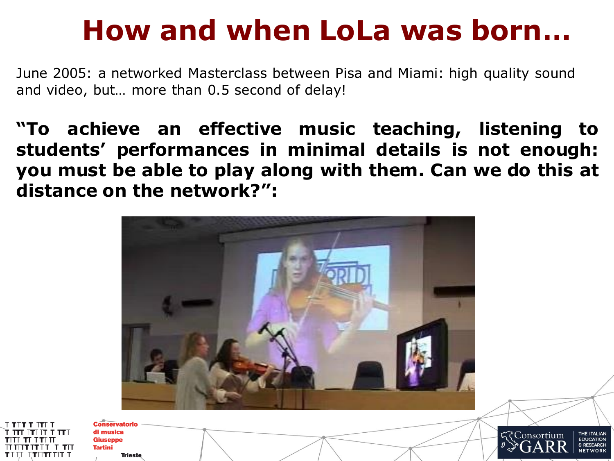### **How and when LoLa was born…**

June 2005: a networked Masterclass between Pisa and Miami: high quality sound and video, but… more than 0.5 second of delay!

**"To achieve an effective music teaching, listening to students' performances in minimal details is not enough: you must be able to play along with them. Can we do this at distance on the network?":**



₹Consortium

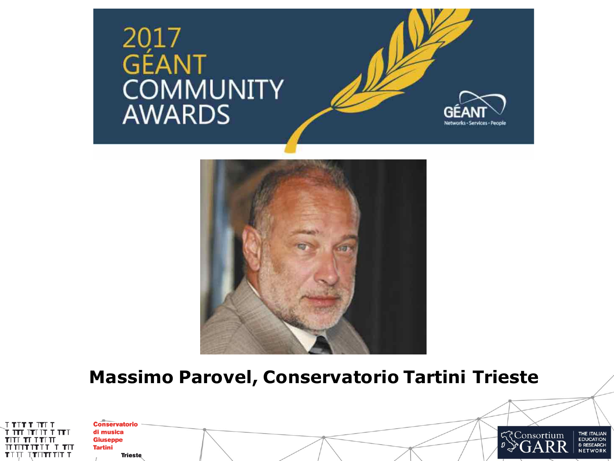





#### **Massimo Parovel, Conservatorio Tartini Trieste**

| <b>ד זדו ד דוד</b> ד    |
|-------------------------|
| ד <b>דר</b> דר דר דר דר |
| TTTTTTTT                |
| חד ז זרחוחור            |
| TIII ITIITTIIT          |

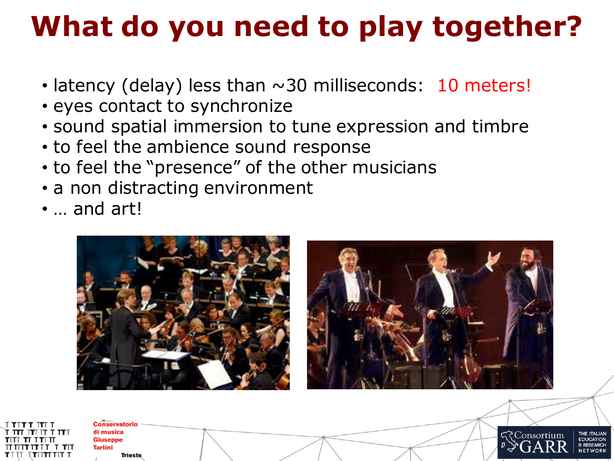# **What do you need to play together?**

- latency (delay) less than  $\sim$ 30 milliseconds: 10 meters!
- eyes contact to synchronize
- sound spatial immersion to tune expression and timbre
- to feel the ambience sound response
- to feel the "presence" of the other musicians
- a non distracting environment
- … and art!

**Conservatorio** di musica **Giuseppe Tartini** 

**Trieste** 



TTHTTH T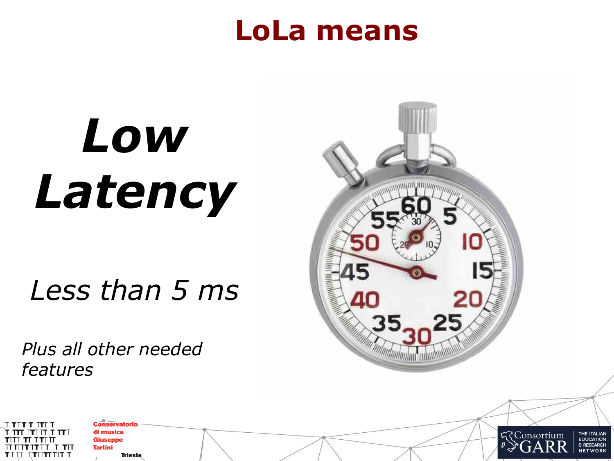#### **LoLa means**

# *Low Latency*

### *Less than 5 ms*

*Plus all other needed features*



**EDUCATION** 

& RESEARCH

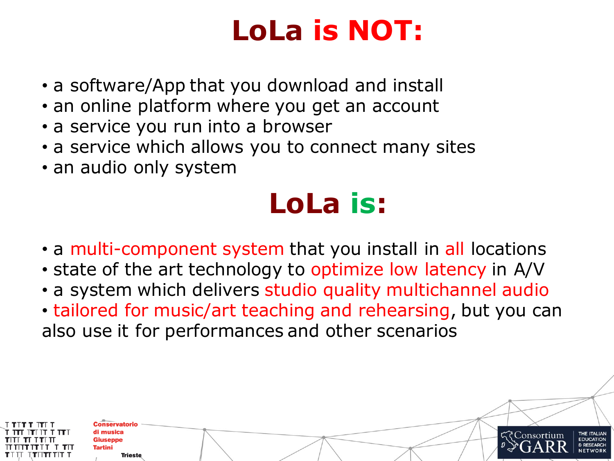### **LoLa is NOT:**

- a software/App that you download and install
- an online platform where you get an account
- a service you run into a browser
- a service which allows you to connect many sites
- an audio only system

# **LoLa is:**

- a multi-component system that you install in all locations
- state of the art technology to optimize low latency in A/V
- a system which delivers studio quality multichannel audio
- tailored for music/art teaching and rehearsing, but you can also use it for performances and other scenarios

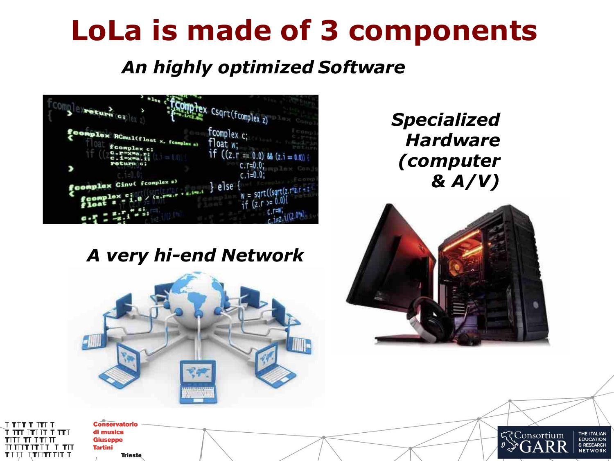### **LoLa is made of 3 components**

#### *An highly optimized Software*



#### *Specialized Hardware (computer & A/V)*

#### *A very hi-end Network*







**Conservatorio** di musica **Giuseppe Tartini Trieste** 

זור ז דרוויווו TIII ITUTIIII T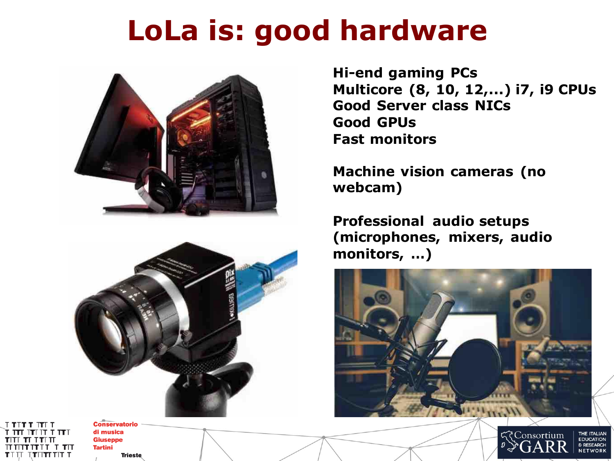### **LoLa is: good hardware**





**Conservatorio** di musica

**Trieste** 

**Giuseppe Tartini** 

ונו זו זו זו זו זו זו TTIT TTITTITIT T

**Hi-end gaming PCs Multicore (8, 10, 12,...) i7, i9 CPUs Good Server class NICs Good GPUs Fast monitors**

**Machine vision cameras (no webcam)**

**Professional audio setups (microphones, mixers, audio monitors, …)**



**Consortium FDUCATION**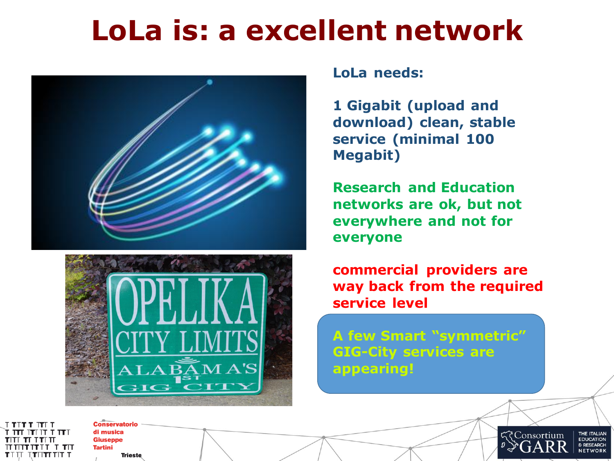#### **LoLa is: a excellent network**





#### **LoLa needs:**

**1 Gigabit (upload and download) clean, stable service (minimal 100 Megabit)**

**Research and Education networks are ok, but not everywhere and not for everyone**

**commercial providers are way back from the required service level**

**A few Smart "symmetric" GIG-City services are appearing!**

टेConsortium

**THE ITALIAN FDUCATION** 

**חד ז זודדווו**ת TIII TTUTTII T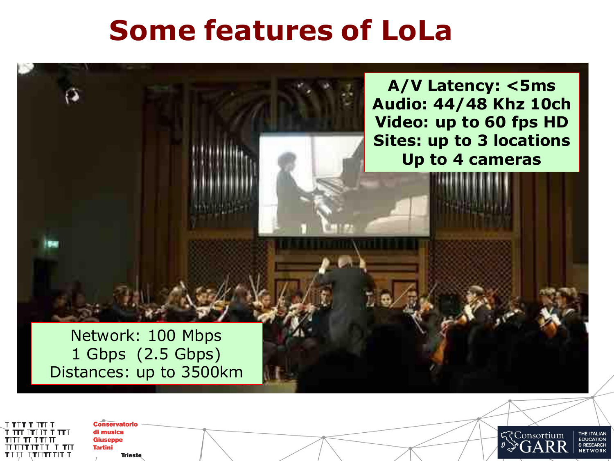#### **Some features of LoLa**



**Conservatorio** di musica **Giuseppe חד ז זודדווו**ת **Tartini** TTIT TTITTITIT T **Trieste** 

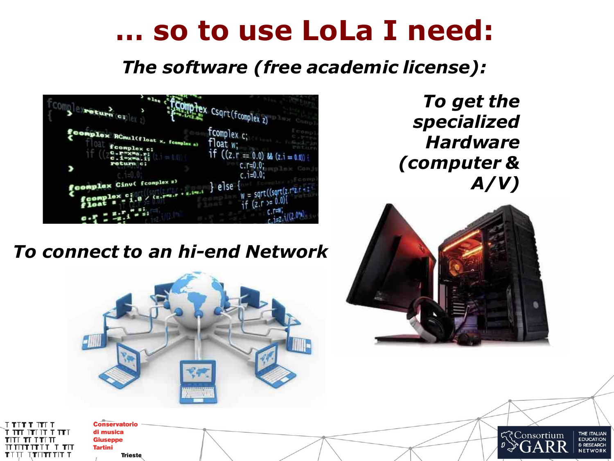#### **… so to use LoLa I need:**

*The software (free academic license):*



*To get the specialized Hardware (computer & A/V)*

*To connect to an hi-end Network*





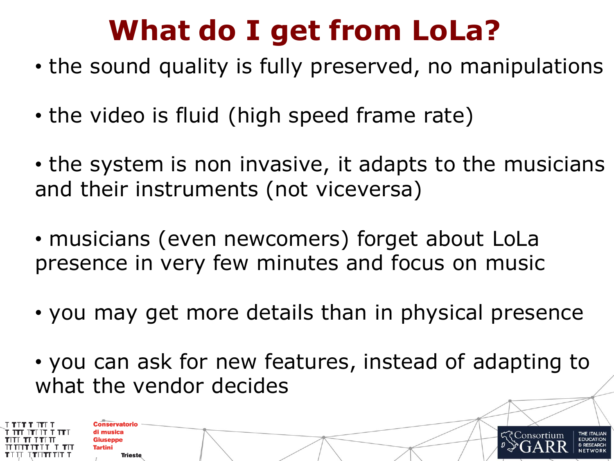# **What do I get from LoLa?**

- the sound quality is fully preserved, no manipulations
- the video is fluid (high speed frame rate)
- the system is non invasive, it adapts to the musicians and their instruments (not viceversa)
- musicians (even newcomers) forget about LoLa presence in very few minutes and focus on music
- you may get more details than in physical presence
- you can ask for new features, instead of adapting to what the vendor decides



**Trieste**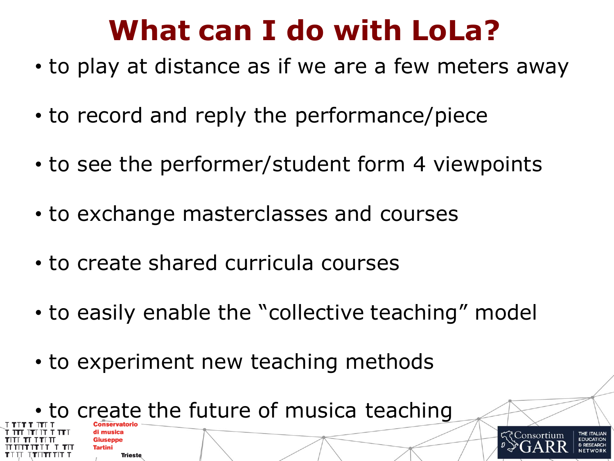### **What can I do with LoLa?**

- to play at distance as if we are a few meters away
- to record and reply the performance/piece
- to see the performer/student form 4 viewpoints
- to exchange masterclasses and courses
- to create shared curricula courses
- to easily enable the "collective teaching" model
- to experiment new teaching methods



**Tartini** 

**Trieste**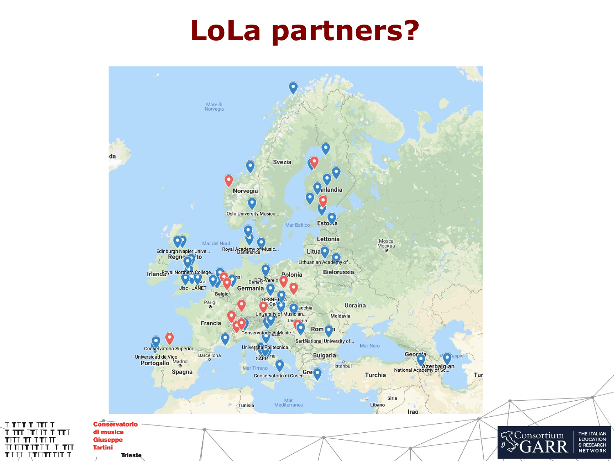#### **LoLa partners?**



 $TTTTTT$ 

TITI

 $TTTT$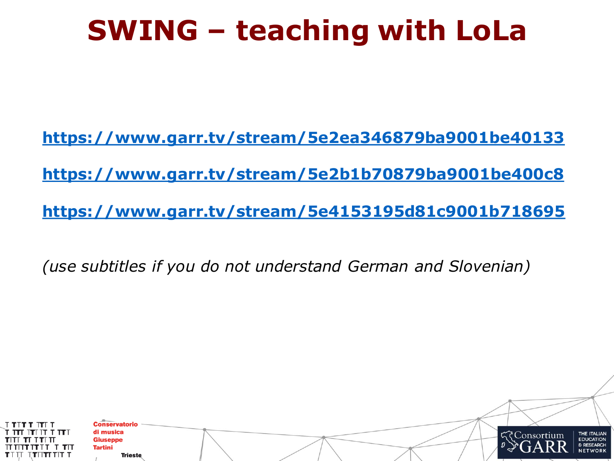### **SWING – teaching with LoLa**

**<https://www.garr.tv/stream/5e2ea346879ba9001be40133> <https://www.garr.tv/stream/5e2b1b70879ba9001be400c8> <https://www.garr.tv/stream/5e4153195d81c9001b718695>**

*(use subtitles if you do not understand German and Slovenian)*